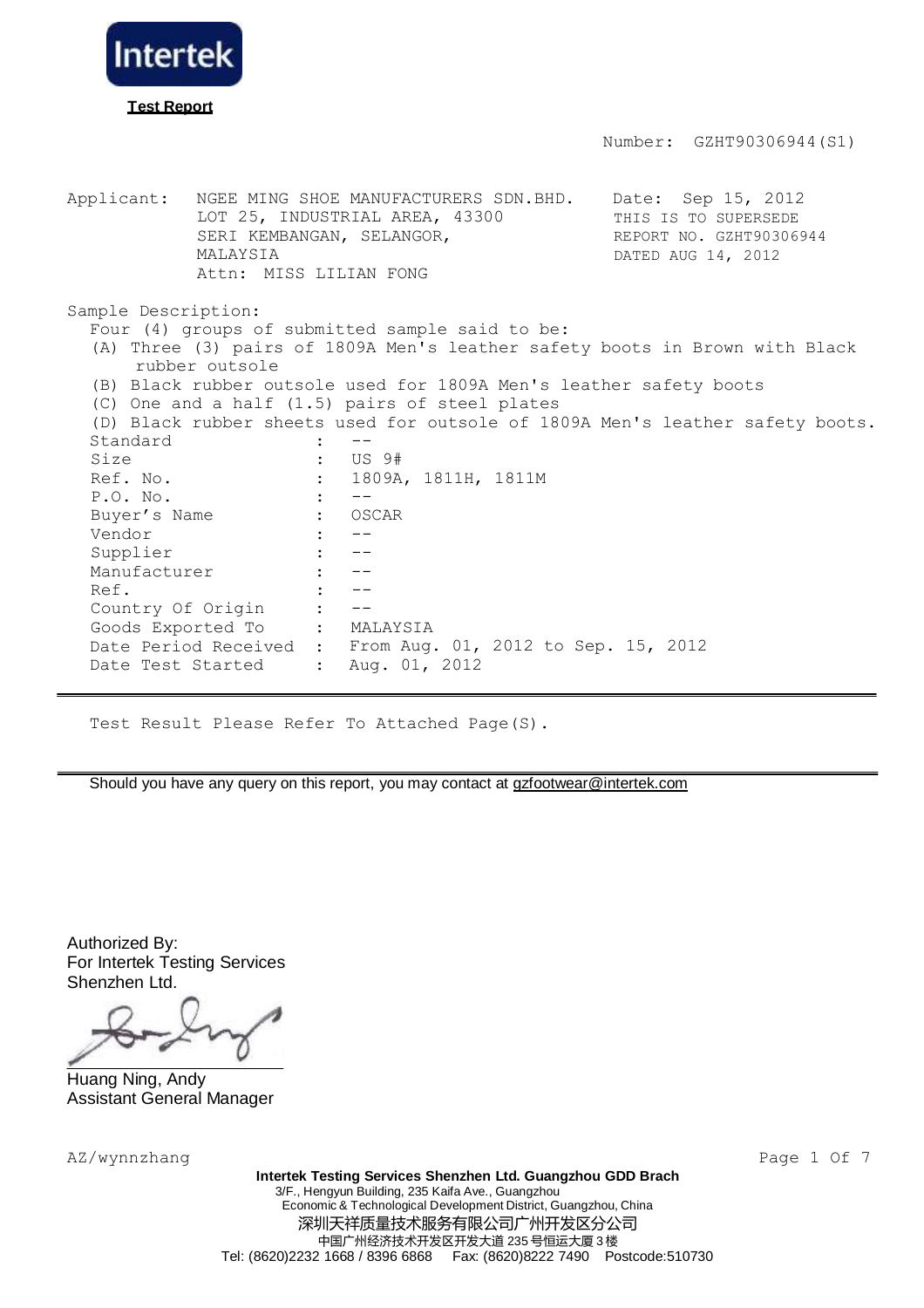

Applicant: NGEE MING SHOE MANUFACTURERS SDN.BHD. Date: Sep 15, 2012 LOT 25, INDUSTRIAL AREA, 43300 SERI KEMBANGAN, SELANGOR, MALAYSIA Attn: MISS LILIAN FONG THIS IS TO SUPERSEDE REPORT NO. GZHT90306944 DATED AUG 14, 2012 Sample Description: Four (4) groups of submitted sample said to be: (A) Three (3) pairs of 1809A Men's leather safety boots in Brown with Black rubber outsole (B) Black rubber outsole used for 1809A Men's leather safety boots (C) One and a half (1.5) pairs of steel plates (D) Black rubber sheets used for outsole of 1809A Men's leather safety boots. Standard : Size : US 9#<br>Ref. No. : 1809A : 1809A, 1811H, 1811M P.O. No. : --Buyer's Name : OSCAR Vendor : --Supplier : --Manufacturer : --Ref.  $\qquad \qquad : \qquad \text{---}$ Country Of Origin : -- Goods Exported To : MALAYSIA Date Period Received : Date Test Started : From Aug. 01, 2012 to Sep. 15, 2012 Aug. 01, 2012

Test Result Please Refer To Attached Page(S).

Should you have any query on this report, you may contact at  $gZ$  footwear@intertek.com

Authorized By: For Intertek Testing Services Shenzhen Ltd.

Huang Ning, Andy Assistant General Manager

AZ/wynnzhang Page 1 Of 7

**Intertek Testing Services Shenzhen Ltd. Guangzhou GDD Brach** 3/F., Hengyun Building, 235 Kaifa Ave., Guangzhou Economic & Technological Development District, Guangzhou, China 深圳天祥质量技术服务有限公司广州开发区分公司 中国广州经济技术开发区开发大道 235 号恒运大厦 3 楼 Tel: (8620)2232 1668 / 8396 6868 Fax: (8620)8222 7490 Postcode:510730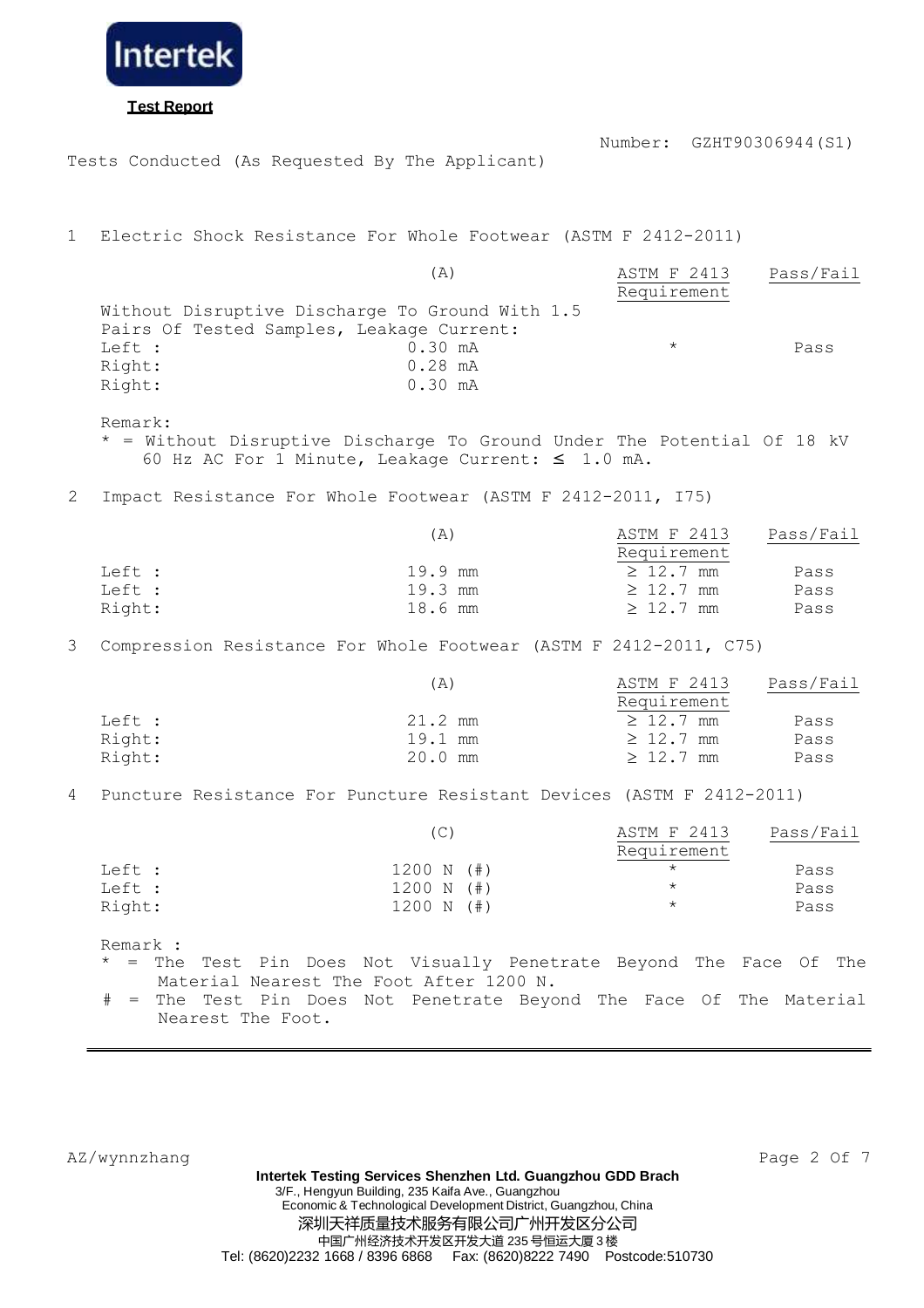

Tests Conducted (As Requested By The Applicant)

1 Electric Shock Resistance For Whole Footwear (ASTM F 2412-2011)

|        | (A)                                             | ASTM F 2413 | Pass/Fail |
|--------|-------------------------------------------------|-------------|-----------|
|        |                                                 | Requirement |           |
|        | Without Disruptive Discharge To Ground With 1.5 |             |           |
|        | Pairs Of Tested Samples, Leakage Current:       |             |           |
| Left : | $0.30 \, \text{mA}$                             | $^\star$    | Pass      |
| Right: | $0.28$ mA                                       |             |           |
| Right: | $0.30 \, \text{mA}$                             |             |           |

Remark:

\* = Without Disruptive Discharge To Ground Under The Potential Of 18 kV 60 Hz AC For 1 Minute, Leakage Current:  $\leq 1.0$  mA.

2 Impact Resistance For Whole Footwear (ASTM F 2412-2011, I75)

|        | (A)       | ASTM F 2413    | Pass/Fail |
|--------|-----------|----------------|-----------|
|        |           | Requirement    |           |
| Left : | 19.9 mm   | $\geq 12.7$ mm | Pass      |
| Left : | $19.3$ mm | $\geq 12.7$ mm | Pass      |
| Right: | 18.6 mm   | $\geq 12.7$ mm | Pass      |

3 Compression Resistance For Whole Footwear (ASTM F 2412-2011, C75)

|        | (A)       | ASTM F 2413    | Pass/Fail |
|--------|-----------|----------------|-----------|
|        |           | Requirement    |           |
| Left : | 21.2 mm   | $\geq 12.7$ mm | Pass      |
| Right: | 19.1 mm   | $\geq 12.7$ mm | Pass      |
| Right: | $20.0$ mm | $\geq 12.7$ mm | Pass      |

4 Puncture Resistance For Puncture Resistant Devices (ASTM F 2412-2011)

|        |              | ASTM F 2413 | Pass/Fail |
|--------|--------------|-------------|-----------|
|        |              | Requirement |           |
| Left : | $1200 N (+)$ | $\star$     | Pass      |
| Left : | $1200 N (+)$ | $\star$     | Pass      |
| Right: | $1200 N$ (#) | $^\star$    | Pass      |

Remark :

\* = The Test Pin Does Not Visually Penetrate Beyond The Face Of The Material Nearest The Foot After 1200 N.

= The Test Pin Does Not Penetrate Beyond The Face Of The Material Nearest The Foot.

AZ/wynnzhang Page 2 Of 7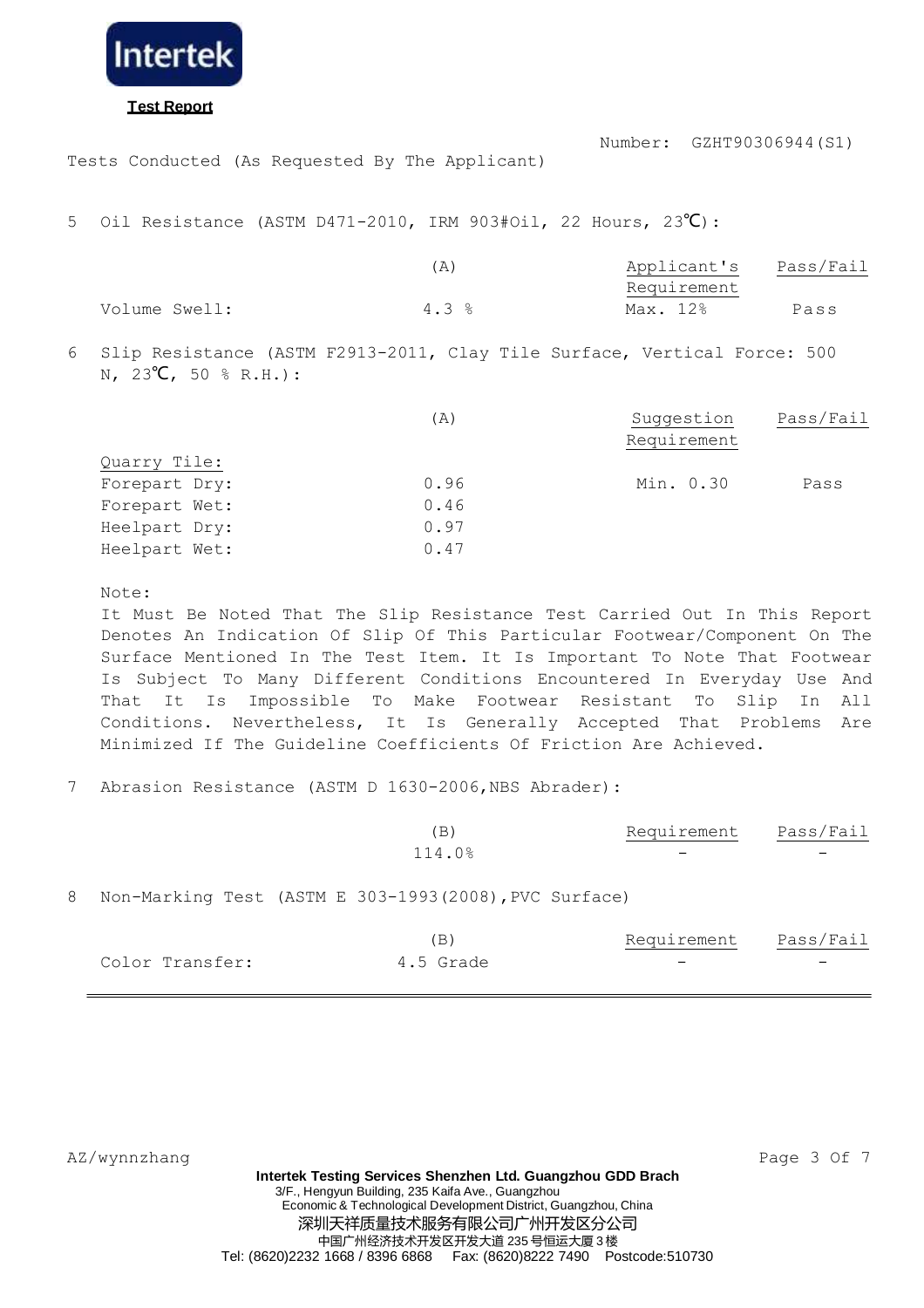

## **Test Report**

Number: GZHT90306944(S1)

Tests Conducted (As Requested By The Applicant)

5 Oil Resistance (ASTM D471-2010, IRM 903#Oil, 22 Hours, 23℃):

|               | Ά    | Applicant's | Pass/Fail |
|---------------|------|-------------|-----------|
|               |      | Requirement |           |
| Volume Swell: | 4.3% | Max. 12%    | Pass      |

6 Slip Resistance (ASTM F2913-2011, Clay Tile Surface, Vertical Force: 500 N, 23**°C**, 50 % R.H.):

|               | (A)  | Suggestion  | Pass/Fail |
|---------------|------|-------------|-----------|
|               |      | Requirement |           |
| Quarry Tile:  |      |             |           |
| Forepart Dry: | 0.96 | Min. 0.30   | Pass      |
| Forepart Wet: | 0.46 |             |           |
| Heelpart Dry: | 0.97 |             |           |
| Heelpart Wet: | 0.47 |             |           |

Note:

It Must Be Noted That The Slip Resistance Test Carried Out In This Report Denotes An Indication Of Slip Of This Particular Footwear/Component On The Surface Mentioned In The Test Item. It Is Important To Note That Footwear Is Subject To Many Different Conditions Encountered In Everyday Use And That It Is Impossible To Make Footwear Resistant To Slip In All Conditions. Nevertheless, It Is Generally Accepted That Problems Are Minimized If The Guideline Coefficients Of Friction Are Achieved.

### 7 Abrasion Resistance (ASTM D 1630-2006, NBS Abrader):

| (B)    | Requirement | Pass/Fail |
|--------|-------------|-----------|
| 114.0% |             |           |

8 Non-Marking Test (ASTM E 303-1993(2008),PVC Surface)

|                 |           | Requirement              | Pass/Fail                |
|-----------------|-----------|--------------------------|--------------------------|
| Color Transfer: | 4.5 Grade | $\overline{\phantom{0}}$ | $\overline{\phantom{0}}$ |

AZ/wynnzhang Page 3 Of 7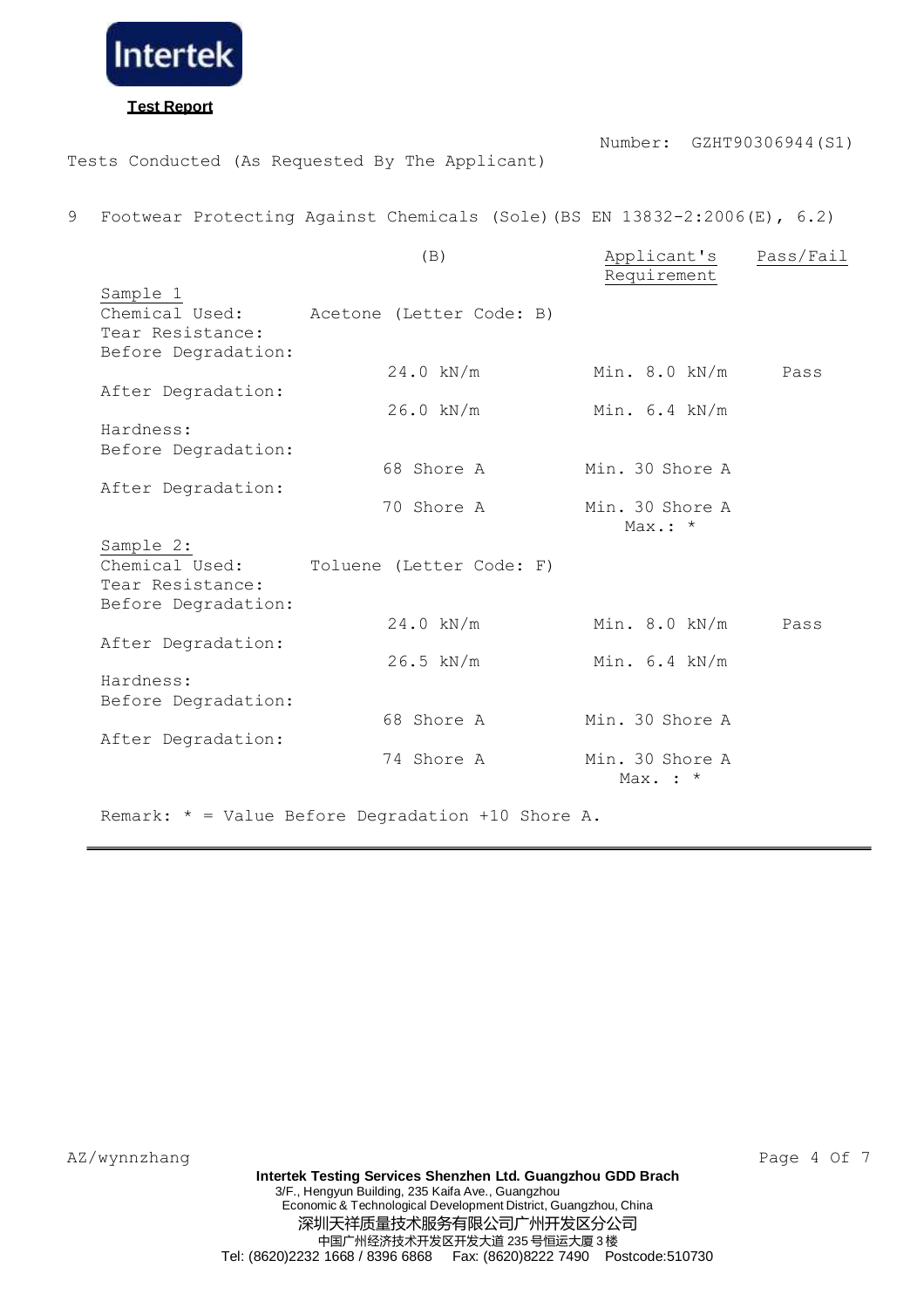

# **Test Report**

Tests Conducted (As Requested By The Applicant)

Number: GZHT90306944(S1)

9 Footwear Protecting Against Chemicals (Sole)(BS EN 13832-2:2006(E), 6.2)

|                     | (B)                                                 | Applicant's<br>Requirement    | Pass/Fail |
|---------------------|-----------------------------------------------------|-------------------------------|-----------|
| Sample 1            |                                                     |                               |           |
| Chemical Used:      | Acetone (Letter Code: B)                            |                               |           |
| Tear Resistance:    |                                                     |                               |           |
| Before Degradation: |                                                     |                               |           |
|                     | $24.0$ kN/m                                         | Min. 8.0 kN/m                 | Pass      |
| After Degradation:  |                                                     |                               |           |
|                     | $26.0$ kN/m                                         | Min. $6.4$ kN/m               |           |
| Hardness:           |                                                     |                               |           |
| Before Degradation: |                                                     |                               |           |
|                     | 68 Shore A                                          | Min. 30 Shore A               |           |
| After Degradation:  | 70 Shore A                                          | Min. 30 Shore A               |           |
|                     |                                                     | $Max.: *$                     |           |
| Sample 2:           |                                                     |                               |           |
| Chemical Used:      | Toluene (Letter Code: F)                            |                               |           |
| Tear Resistance:    |                                                     |                               |           |
| Before Degradation: |                                                     |                               |           |
|                     | $24.0$ kN/m                                         | Min. $8.0$ kN/m               | Pass      |
| After Degradation:  |                                                     |                               |           |
|                     | $26.5$ kN/m                                         | Min. $6.4$ kN/m               |           |
| Hardness:           |                                                     |                               |           |
| Before Degradation: |                                                     |                               |           |
|                     | 68 Shore A                                          | Min. 30 Shore A               |           |
| After Degradation:  |                                                     |                               |           |
|                     | 74 Shore A                                          | Min. 30 Shore A<br>Max. $:$ * |           |
|                     | Remark: $*$ = Value Before Degradation +10 Shore A. |                               |           |
|                     |                                                     |                               |           |

AZ/wynnzhang Page 4 Of 7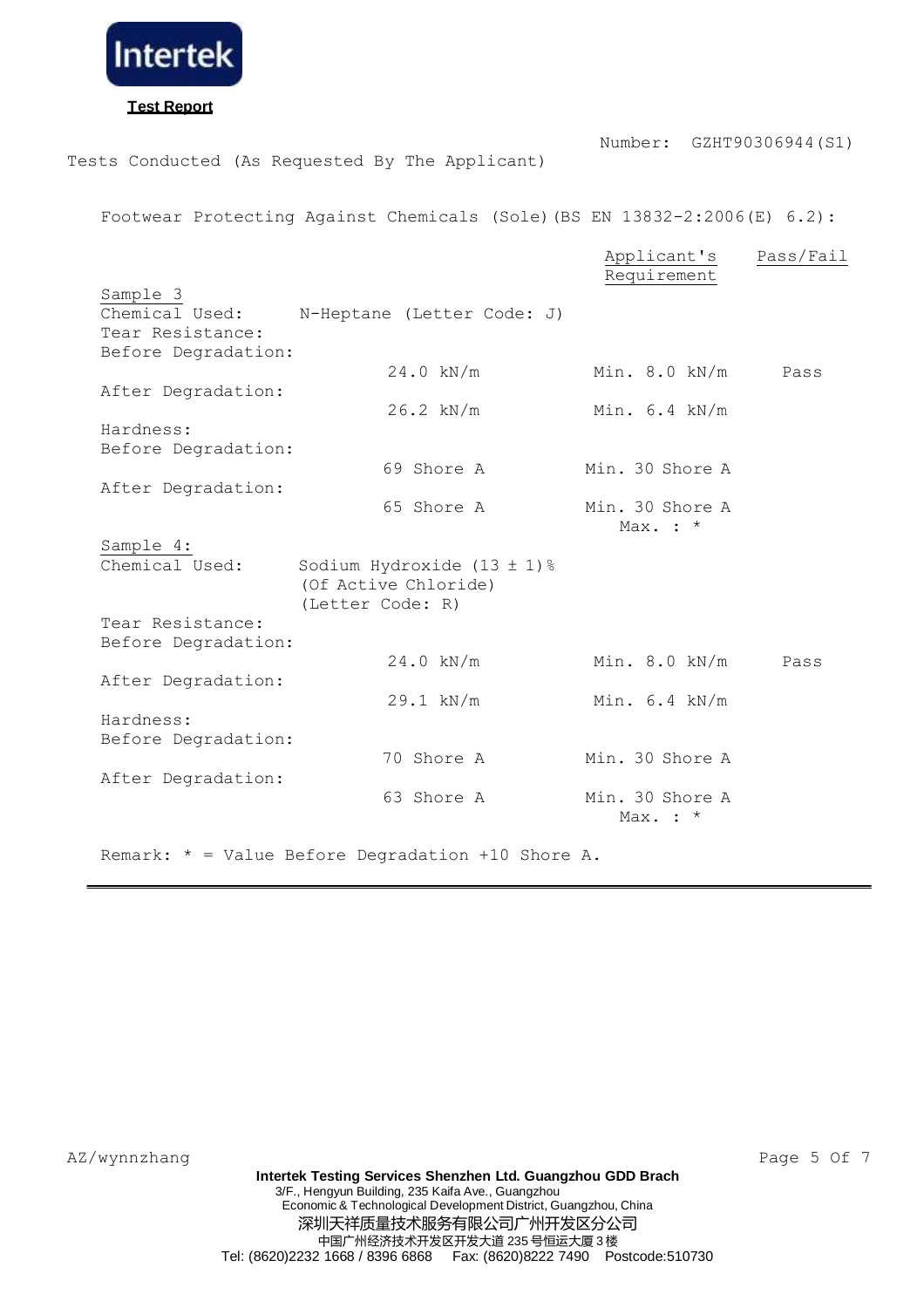

**Test Report**

Number: GZHT90306944(S1)

Tests Conducted (As Requested By The Applicant)

Footwear Protecting Against Chemicals (Sole)(BS EN 13832-2:2006(E) 6.2):

|                     |                                | Applicant's<br>Requirement | Pass/Fail |
|---------------------|--------------------------------|----------------------------|-----------|
| Sample 3            |                                |                            |           |
| Chemical Used:      | N-Heptane (Letter Code: J)     |                            |           |
| Tear Resistance:    |                                |                            |           |
| Before Degradation: |                                |                            |           |
|                     | $24.0$ kN/m                    | Min. $8.0$ kN/m            | Pass      |
| After Degradation:  |                                |                            |           |
|                     | $26.2$ kN/m                    | Min. $6.4$ kN/m            |           |
| Hardness:           |                                |                            |           |
| Before Degradation: |                                |                            |           |
|                     | 69 Shore A                     | Min. 30 Shore A            |           |
| After Degradation:  |                                |                            |           |
|                     | 65 Shore A                     | Min. 30 Shore A            |           |
|                     |                                | Max. $:$ *                 |           |
| Sample 4:           |                                |                            |           |
| Chemical Used:      | Sodium Hydroxide $(13 \pm 1)\$ |                            |           |
|                     | (Of Active Chloride)           |                            |           |
|                     | (Letter Code: R)               |                            |           |
| Tear Resistance:    |                                |                            |           |
| Before Degradation: |                                |                            |           |
|                     | $24.0$ kN/m                    | Min. 8.0 kN/m              | Pass      |
| After Degradation:  |                                |                            |           |
|                     | $29.1$ kN/m                    | Min. $6.4$ kN/m            |           |
| Hardness:           |                                |                            |           |
| Before Degradation: |                                |                            |           |
|                     | 70 Shore A                     | Min. 30 Shore A            |           |
| After Degradation:  |                                |                            |           |
|                     | 63 Shore A                     | Min. 30 Shore A            |           |
|                     |                                | Max. $:$ $*$               |           |
|                     |                                |                            |           |
|                     |                                |                            |           |

Remark: \* = Value Before Degradation +10 Shore A.

AZ/wynnzhang Page 5 Of 7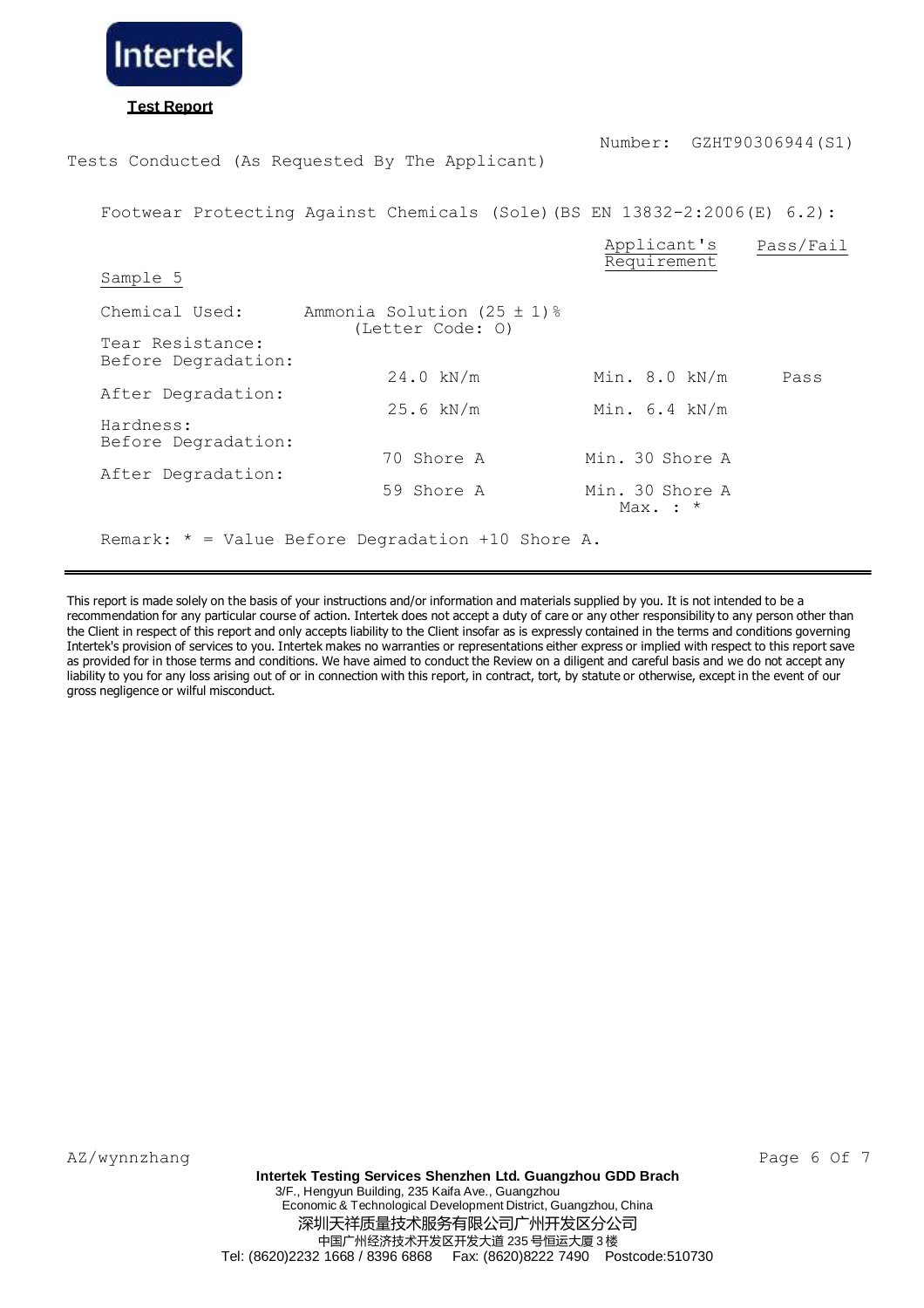

Tests Conducted (As Requested By The Applicant)

Footwear Protecting Against Chemicals (Sole)(BS EN 13832-2:2006(E) 6.2):

|                                         |                                                                 | Applicant's<br>Requirement      | Pass/Fail |
|-----------------------------------------|-----------------------------------------------------------------|---------------------------------|-----------|
| Sample 5                                |                                                                 |                                 |           |
| Chemical Used:                          | Ammonia Solution (25 $\pm$ 1) $\textdegree$<br>(Letter Code: 0) |                                 |           |
| Tear Resistance:<br>Before Degradation: |                                                                 |                                 |           |
|                                         | $24.0$ kN/m                                                     | Min. 8.0 kN/m                   | Pass      |
| After Degradation:                      | $25.6$ kN/m                                                     | Min. $6.4$ kN/m                 |           |
| Hardness:<br>Before Degradation:        |                                                                 |                                 |           |
| After Degradation:                      | 70 Shore A                                                      | Min. 30 Shore A                 |           |
|                                         | 59 Shore A                                                      | Min. 30 Shore A<br>Max. $:$ $*$ |           |
|                                         | Remark: $*$ = Value Before Degradation +10 Shore A.             |                                 |           |

This report is made solely on the basis of your instructions and/or information and materials supplied by you. It is not intended to be a recommendation for any particular course of action. Intertek does not accept a duty of care or any other responsibility to any person other than the Client in respect of this report and only accepts liability to the Client insofar as is expressly contained in the terms and conditions governing Intertek's provision of services to you. Intertek makes no warranties or representations either express or implied with respect to this report save as provided for in those terms and conditions. We have aimed to conduct the Review on a diligent and careful basis and we do not accept any liability to you for any loss arising out of or in connection with this report, in contract, tort, by statute or otherwise, except in the event of our gross negligence or wilful misconduct.

AZ/wynnzhang Page 6 Of 7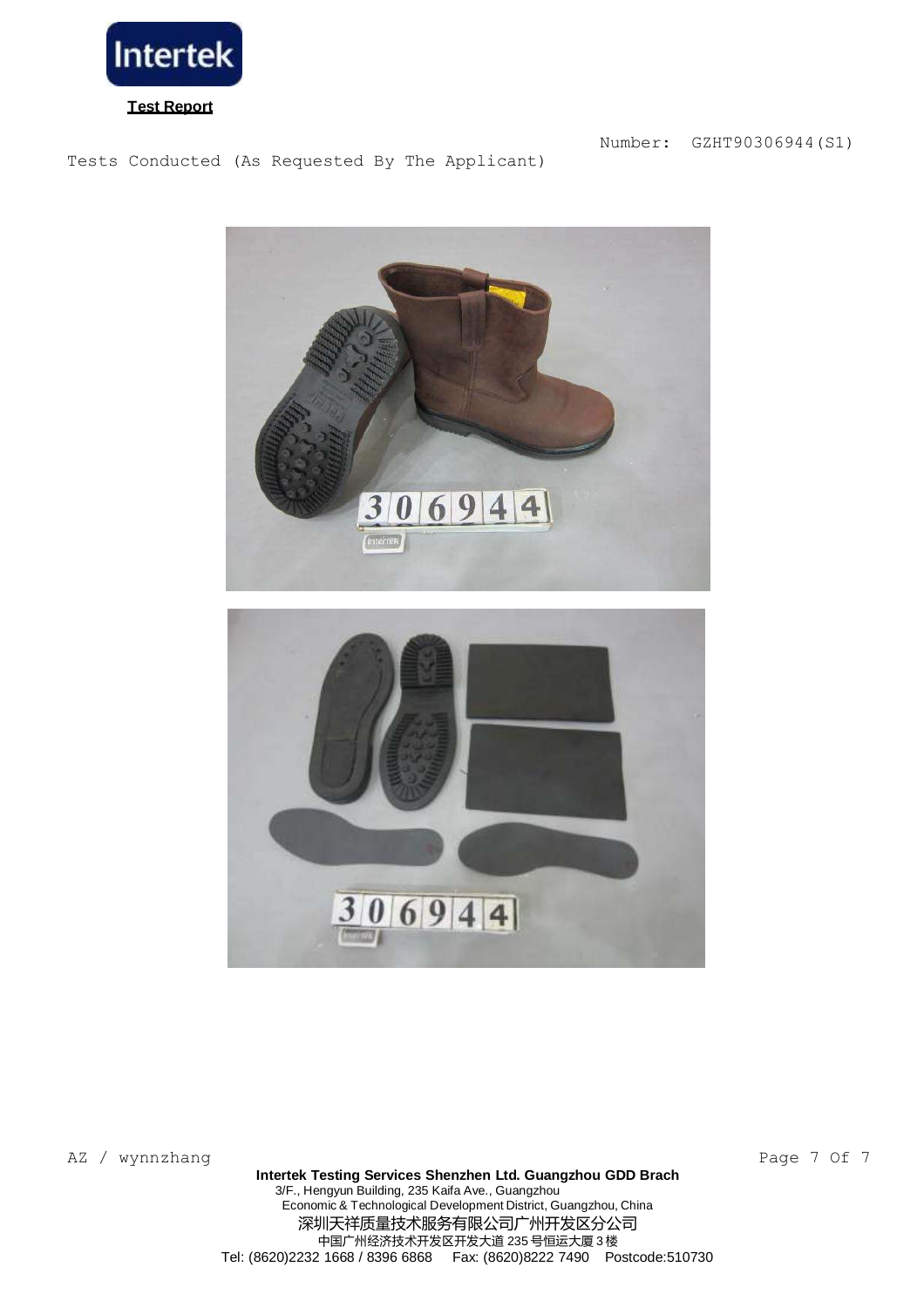

Tests Conducted (As Requested By The Applicant)



AZ / wynnzhang Page 7 Of 7

Economic & Technological Development District, Guangzhou, China 深圳天祥质量技术服务有限公司广州开发区分公司 中国广州经济技术开发区开发大道 235 号恒运大厦 3 楼 Tel: (8620)2232 1668 / 8396 6868 Fax: (8620)8222 7490 Postcode:510730 **Intertek Testing Services Shenzhen Ltd. Guangzhou GDD Brach** 3/F., Hengyun Building, 235 Kaifa Ave., Guangzhou